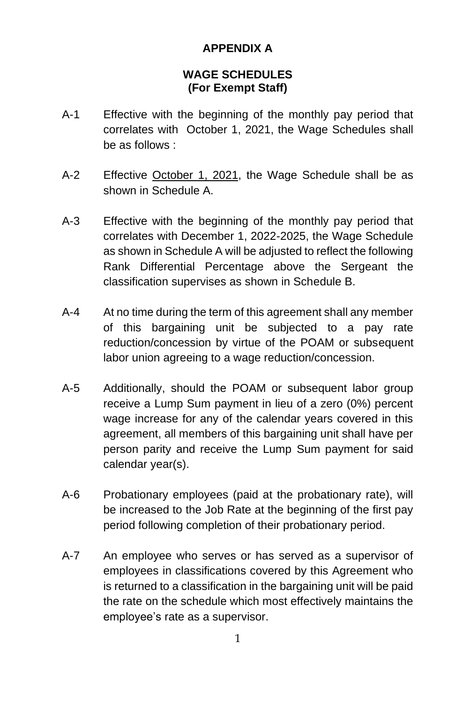### **APPENDIX A**

#### **WAGE SCHEDULES (For Exempt Staff)**

- A-1 Effective with the beginning of the monthly pay period that correlates with October 1, 2021, the Wage Schedules shall be as follows :
- A-2 Effective October 1, 2021, the Wage Schedule shall be as shown in Schedule A.
- A-3 Effective with the beginning of the monthly pay period that correlates with December 1, 2022-2025, the Wage Schedule as shown in Schedule A will be adjusted to reflect the following Rank Differential Percentage above the Sergeant the classification supervises as shown in Schedule B.
- A-4 At no time during the term of this agreement shall any member of this bargaining unit be subjected to a pay rate reduction/concession by virtue of the POAM or subsequent labor union agreeing to a wage reduction/concession.
- A-5 Additionally, should the POAM or subsequent labor group receive a Lump Sum payment in lieu of a zero (0%) percent wage increase for any of the calendar years covered in this agreement, all members of this bargaining unit shall have per person parity and receive the Lump Sum payment for said calendar year(s).
- A-6 Probationary employees (paid at the probationary rate), will be increased to the Job Rate at the beginning of the first pay period following completion of their probationary period.
- A-7 An employee who serves or has served as a supervisor of employees in classifications covered by this Agreement who is returned to a classification in the bargaining unit will be paid the rate on the schedule which most effectively maintains the employee's rate as a supervisor.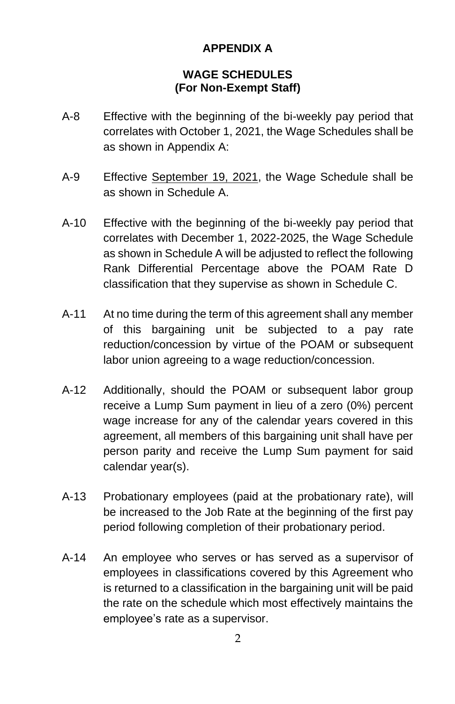## **APPENDIX A**

#### **WAGE SCHEDULES (For Non-Exempt Staff)**

- A-8 Effective with the beginning of the bi-weekly pay period that correlates with October 1, 2021, the Wage Schedules shall be as shown in Appendix A:
- A-9 Effective September 19, 2021, the Wage Schedule shall be as shown in Schedule A.
- A-10 Effective with the beginning of the bi-weekly pay period that correlates with December 1, 2022-2025, the Wage Schedule as shown in Schedule A will be adjusted to reflect the following Rank Differential Percentage above the POAM Rate D classification that they supervise as shown in Schedule C.
- A-11 At no time during the term of this agreement shall any member of this bargaining unit be subjected to a pay rate reduction/concession by virtue of the POAM or subsequent labor union agreeing to a wage reduction/concession.
- A-12 Additionally, should the POAM or subsequent labor group receive a Lump Sum payment in lieu of a zero (0%) percent wage increase for any of the calendar years covered in this agreement, all members of this bargaining unit shall have per person parity and receive the Lump Sum payment for said calendar year(s).
- A-13 Probationary employees (paid at the probationary rate), will be increased to the Job Rate at the beginning of the first pay period following completion of their probationary period.
- A-14 An employee who serves or has served as a supervisor of employees in classifications covered by this Agreement who is returned to a classification in the bargaining unit will be paid the rate on the schedule which most effectively maintains the employee's rate as a supervisor.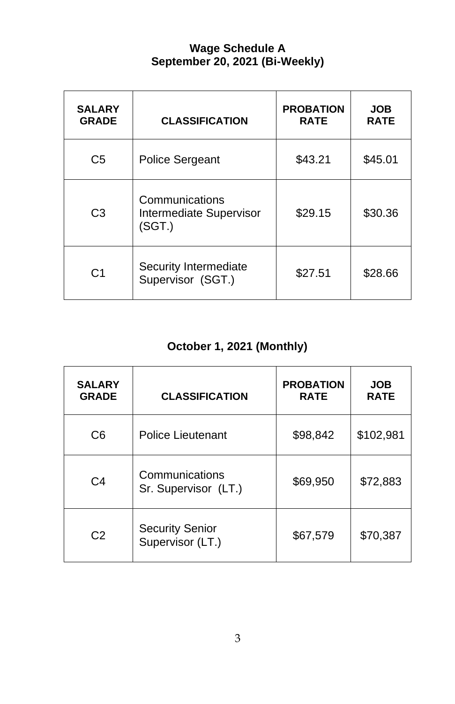## **Wage Schedule A September 20, 2021 (Bi-Weekly)**

| <b>SALARY</b><br><b>GRADE</b> | <b>CLASSIFICATION</b>                               | <b>PROBATION</b><br><b>RATE</b> | <b>JOB</b><br><b>RATE</b> |
|-------------------------------|-----------------------------------------------------|---------------------------------|---------------------------|
| C <sub>5</sub>                | Police Sergeant                                     | \$43.21                         | \$45.01                   |
| C <sub>3</sub>                | Communications<br>Intermediate Supervisor<br>(SGT.) | \$29.15                         | \$30.36                   |
| C <sub>1</sub>                | Security Intermediate<br>Supervisor (SGT.)          | \$27.51                         | \$28.66                   |

## **October 1, 2021 (Monthly)**

| <b>SALARY</b><br><b>GRADE</b> | <b>CLASSIFICATION</b>                      | <b>PROBATION</b><br><b>RATE</b> | <b>JOB</b><br><b>RATE</b> |
|-------------------------------|--------------------------------------------|---------------------------------|---------------------------|
| C <sub>6</sub>                | Police Lieutenant                          | \$98,842                        | \$102,981                 |
| C <sub>4</sub>                | Communications<br>Sr. Supervisor (LT.)     | \$69,950                        | \$72,883                  |
| C <sub>2</sub>                | <b>Security Senior</b><br>Supervisor (LT.) | \$67,579                        | \$70,387                  |